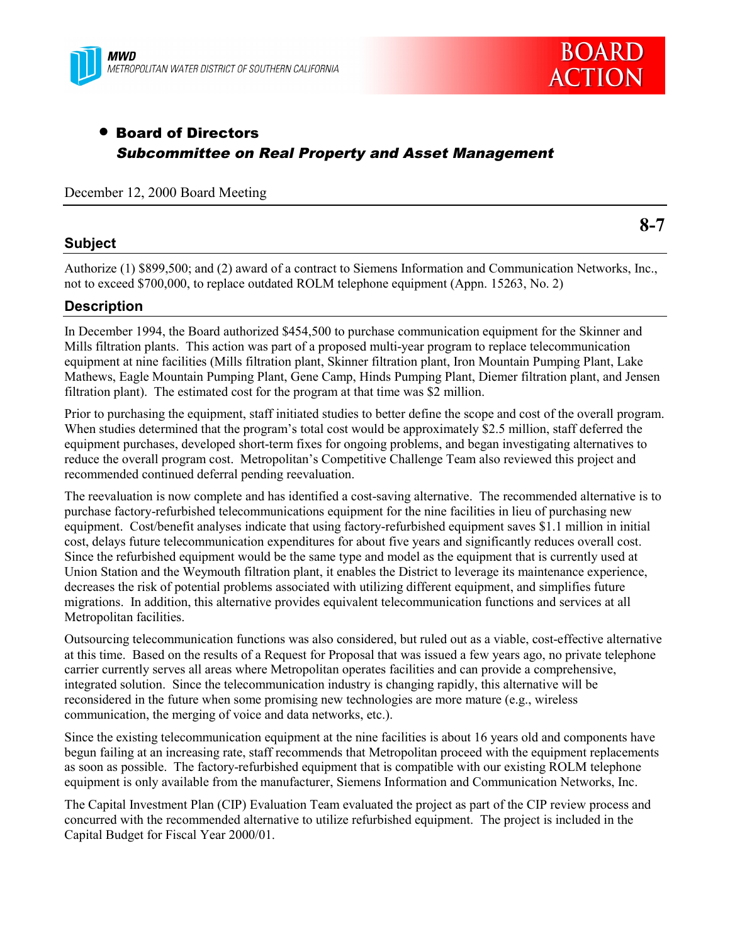



## • Board of Directors Subcommittee on Real Property and Asset Management

December 12, 2000 Board Meeting

## **Subject**

**8-7**

Authorize (1) \$899,500; and (2) award of a contract to Siemens Information and Communication Networks, Inc., not to exceed \$700,000, to replace outdated ROLM telephone equipment (Appn. 15263, No. 2)

## **Description**

In December 1994, the Board authorized \$454,500 to purchase communication equipment for the Skinner and Mills filtration plants. This action was part of a proposed multi-year program to replace telecommunication equipment at nine facilities (Mills filtration plant, Skinner filtration plant, Iron Mountain Pumping Plant, Lake Mathews, Eagle Mountain Pumping Plant, Gene Camp, Hinds Pumping Plant, Diemer filtration plant, and Jensen filtration plant). The estimated cost for the program at that time was \$2 million.

Prior to purchasing the equipment, staff initiated studies to better define the scope and cost of the overall program. When studies determined that the program's total cost would be approximately \$2.5 million, staff deferred the equipment purchases, developed short-term fixes for ongoing problems, and began investigating alternatives to reduce the overall program cost. Metropolitan's Competitive Challenge Team also reviewed this project and recommended continued deferral pending reevaluation.

The reevaluation is now complete and has identified a cost-saving alternative. The recommended alternative is to purchase factory-refurbished telecommunications equipment for the nine facilities in lieu of purchasing new equipment. Cost/benefit analyses indicate that using factory-refurbished equipment saves \$1.1 million in initial cost, delays future telecommunication expenditures for about five years and significantly reduces overall cost. Since the refurbished equipment would be the same type and model as the equipment that is currently used at Union Station and the Weymouth filtration plant, it enables the District to leverage its maintenance experience, decreases the risk of potential problems associated with utilizing different equipment, and simplifies future migrations. In addition, this alternative provides equivalent telecommunication functions and services at all Metropolitan facilities.

Outsourcing telecommunication functions was also considered, but ruled out as a viable, cost-effective alternative at this time. Based on the results of a Request for Proposal that was issued a few years ago, no private telephone carrier currently serves all areas where Metropolitan operates facilities and can provide a comprehensive, integrated solution. Since the telecommunication industry is changing rapidly, this alternative will be reconsidered in the future when some promising new technologies are more mature (e.g., wireless communication, the merging of voice and data networks, etc.).

Since the existing telecommunication equipment at the nine facilities is about 16 years old and components have begun failing at an increasing rate, staff recommends that Metropolitan proceed with the equipment replacements as soon as possible. The factory-refurbished equipment that is compatible with our existing ROLM telephone equipment is only available from the manufacturer, Siemens Information and Communication Networks, Inc.

The Capital Investment Plan (CIP) Evaluation Team evaluated the project as part of the CIP review process and concurred with the recommended alternative to utilize refurbished equipment. The project is included in the Capital Budget for Fiscal Year 2000/01.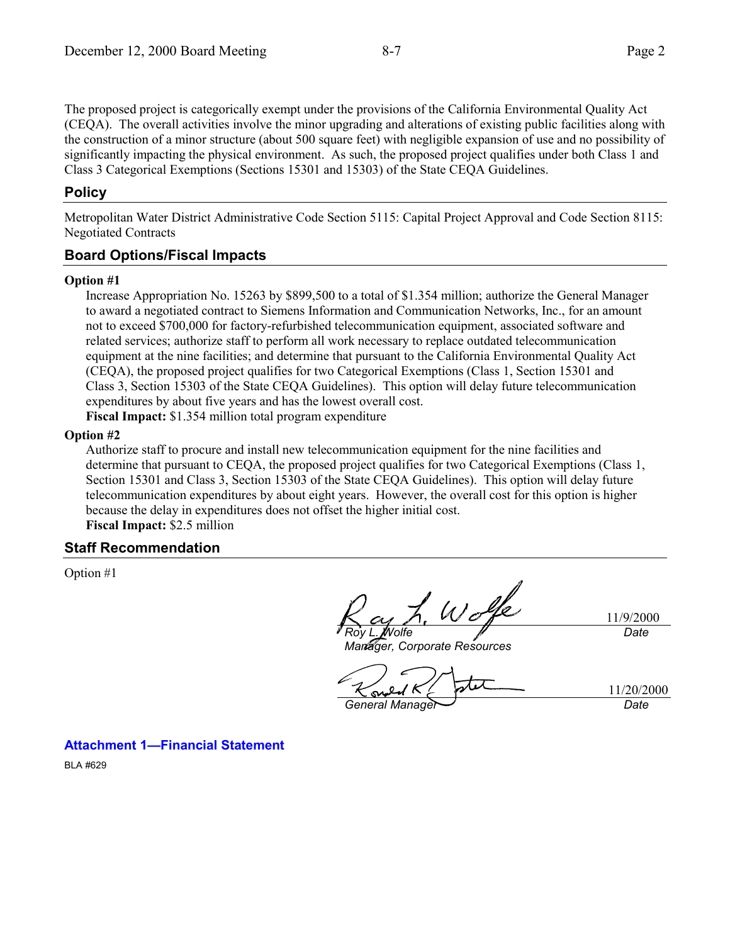The proposed project is categorically exempt under the provisions of the California Environmental Quality Act (CEQA). The overall activities involve the minor upgrading and alterations of existing public facilities along with the construction of a minor structure (about 500 square feet) with negligible expansion of use and no possibility of significantly impacting the physical environment. As such, the proposed project qualifies under both Class 1 and Class 3 Categorical Exemptions (Sections 15301 and 15303) of the State CEQA Guidelines.

## **Policy**

Metropolitan Water District Administrative Code Section 5115: Capital Project Approval and Code Section 8115: Negotiated Contracts

## **Board Options/Fiscal Impacts**

#### **Option #1**

Increase Appropriation No. 15263 by \$899,500 to a total of \$1.354 million; authorize the General Manager to award a negotiated contract to Siemens Information and Communication Networks, Inc., for an amount not to exceed \$700,000 for factory-refurbished telecommunication equipment, associated software and related services; authorize staff to perform all work necessary to replace outdated telecommunication equipment at the nine facilities; and determine that pursuant to the California Environmental Quality Act (CEQA), the proposed project qualifies for two Categorical Exemptions (Class 1, Section 15301 and Class 3, Section 15303 of the State CEQA Guidelines). This option will delay future telecommunication expenditures by about five years and has the lowest overall cost. **Fiscal Impact:** \$1.354 million total program expenditure

#### **Option #2**

Authorize staff to procure and install new telecommunication equipment for the nine facilities and determine that pursuant to CEQA, the proposed project qualifies for two Categorical Exemptions (Class 1, Section 15301 and Class 3, Section 15303 of the State CEQA Guidelines). This option will delay future telecommunication expenditures by about eight years. However, the overall cost for this option is higher because the delay in expenditures does not offset the higher initial cost. **Fiscal Impact:** \$2.5 million

#### **Staff Recommendation**

Option #1

 $W\sigma$ 

*Roy L. Wolfe*

11/9/2000 *Date*

*Manager, Corporate Resources*

11/20/2000 **General Manager Date** 

**Attachment 1—Financial Statement**

BLA #629